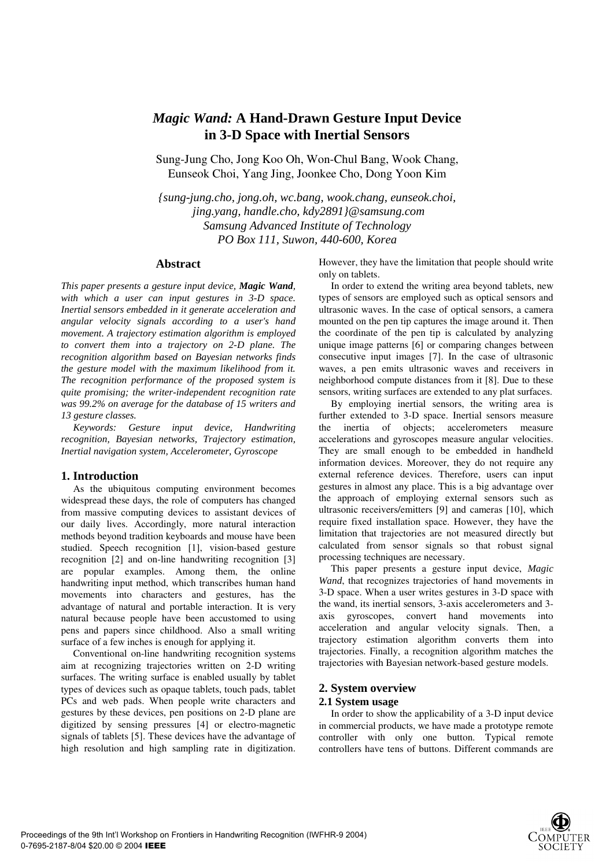# *Magic Wand:* **A Hand-Drawn Gesture Input Device in 3-D Space with Inertial Sensors**

Sung-Jung Cho, Jong Koo Oh, Won-Chul Bang, Wook Chang, Eunseok Choi, Yang Jing, Joonkee Cho, Dong Yoon Kim

*{sung-jung.cho, jong.oh, wc.bang, wook.chang, eunseok.choi, jing.yang, handle.cho, kdy2891}@samsung.com Samsung Advanced Institute of Technology PO Box 111, Suwon, 440-600, Korea* 

# **Abstract**

*This paper presents a gesture input device, Magic Wand, with which a user can input gestures in 3-D space. Inertial sensors embedded in it generate acceleration and angular velocity signals according to a user's hand movement. A trajectory estimation algorithm is employed to convert them into a trajectory on 2-D plane. The recognition algorithm based on Bayesian networks finds the gesture model with the maximum likelihood from it. The recognition performance of the proposed system is quite promising; the writer-independent recognition rate was 99.2% on average for the database of 15 writers and 13 gesture classes.* 

*Keywords: Gesture input device, Handwriting recognition, Bayesian networks, Trajectory estimation, Inertial navigation system, Accelerometer, Gyroscope* 

## **1. Introduction**

As the ubiquitous computing environment becomes widespread these days, the role of computers has changed from massive computing devices to assistant devices of our daily lives. Accordingly, more natural interaction methods beyond tradition keyboards and mouse have been studied. Speech recognition [1], vision-based gesture recognition [2] and on-line handwriting recognition [3] are popular examples. Among them, the online handwriting input method, which transcribes human hand movements into characters and gestures, has the advantage of natural and portable interaction. It is very natural because people have been accustomed to using pens and papers since childhood. Also a small writing surface of a few inches is enough for applying it.

Conventional on-line handwriting recognition systems aim at recognizing trajectories written on 2-D writing surfaces. The writing surface is enabled usually by tablet types of devices such as opaque tablets, touch pads, tablet PCs and web pads. When people write characters and gestures by these devices, pen positions on 2-D plane are digitized by sensing pressures [4] or electro-magnetic signals of tablets [5]. These devices have the advantage of high resolution and high sampling rate in digitization.

However, they have the limitation that people should write only on tablets.

In order to extend the writing area beyond tablets, new types of sensors are employed such as optical sensors and ultrasonic waves. In the case of optical sensors, a camera mounted on the pen tip captures the image around it. Then the coordinate of the pen tip is calculated by analyzing unique image patterns [6] or comparing changes between consecutive input images [7]. In the case of ultrasonic waves, a pen emits ultrasonic waves and receivers in neighborhood compute distances from it [8]. Due to these sensors, writing surfaces are extended to any plat surfaces.

By employing inertial sensors, the writing area is further extended to 3-D space. Inertial sensors measure the inertia of objects; accelerometers measure accelerations and gyroscopes measure angular velocities. They are small enough to be embedded in handheld information devices. Moreover, they do not require any external reference devices. Therefore, users can input gestures in almost any place. This is a big advantage over the approach of employing external sensors such as ultrasonic receivers/emitters [9] and cameras [10], which require fixed installation space. However, they have the limitation that trajectories are not measured directly but calculated from sensor signals so that robust signal processing techniques are necessary.

This paper presents a gesture input device, *Magic Wand*, that recognizes trajectories of hand movements in 3-D space. When a user writes gestures in 3-D space with the wand, its inertial sensors, 3-axis accelerometers and 3 axis gyroscopes, convert hand movements into acceleration and angular velocity signals. Then, a trajectory estimation algorithm converts them into trajectories. Finally, a recognition algorithm matches the trajectories with Bayesian network-based gesture models.

### **2. System overview**

#### **2.1 System usage**

In order to show the applicability of a 3-D input device in commercial products, we have made a prototype remote controller with only one button. Typical remote controllers have tens of buttons. Different commands are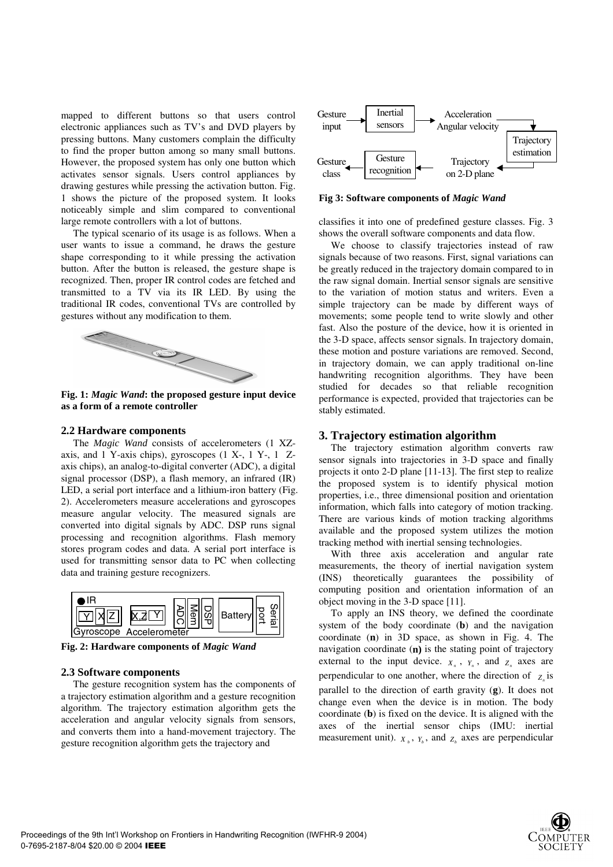mapped to different buttons so that users control electronic appliances such as TV's and DVD players by pressing buttons. Many customers complain the difficulty to find the proper button among so many small buttons. However, the proposed system has only one button which activates sensor signals. Users control appliances by drawing gestures while pressing the activation button. Fig. 1 shows the picture of the proposed system. It looks noticeably simple and slim compared to conventional large remote controllers with a lot of buttons.

The typical scenario of its usage is as follows. When a user wants to issue a command, he draws the gesture shape corresponding to it while pressing the activation button. After the button is released, the gesture shape is recognized. Then, proper IR control codes are fetched and transmitted to a TV via its IR LED. By using the traditional IR codes, conventional TVs are controlled by gestures without any modification to them.



**Fig. 1:** *Magic Wand***: the proposed gesture input device as a form of a remote controller** 

#### **2.2 Hardware components**

The *Magic Wand* consists of accelerometers (1 XZaxis, and 1 Y-axis chips), gyroscopes (1 X-, 1 Y-, 1 Zaxis chips), an analog-to-digital converter (ADC), a digital signal processor (DSP), a flash memory, an infrared (IR) LED, a serial port interface and a lithium-iron battery (Fig. 2). Accelerometers measure accelerations and gyroscopes measure angular velocity. The measured signals are converted into digital signals by ADC. DSP runs signal processing and recognition algorithms. Flash memory stores program codes and data. A serial port interface is used for transmitting sensor data to PC when collecting data and training gesture recognizers.



**Fig. 2: Hardware components of** *Magic Wand*

#### **2.3 Software components**

The gesture recognition system has the components of a trajectory estimation algorithm and a gesture recognition algorithm. The trajectory estimation algorithm gets the acceleration and angular velocity signals from sensors, and converts them into a hand-movement trajectory. The gesture recognition algorithm gets the trajectory and



**Fig 3: Software components of** *Magic Wand* 

classifies it into one of predefined gesture classes. Fig. 3 shows the overall software components and data flow.

We choose to classify trajectories instead of raw signals because of two reasons. First, signal variations can be greatly reduced in the trajectory domain compared to in the raw signal domain. Inertial sensor signals are sensitive to the variation of motion status and writers. Even a simple trajectory can be made by different ways of movements; some people tend to write slowly and other fast. Also the posture of the device, how it is oriented in the 3-D space, affects sensor signals. In trajectory domain, these motion and posture variations are removed. Second, in trajectory domain, we can apply traditional on-line handwriting recognition algorithms. They have been studied for decades so that reliable recognition performance is expected, provided that trajectories can be stably estimated.

#### **3. Trajectory estimation algorithm**

The trajectory estimation algorithm converts raw sensor signals into trajectories in 3-D space and finally projects it onto 2-D plane [11-13]. The first step to realize the proposed system is to identify physical motion properties, i.e., three dimensional position and orientation information, which falls into category of motion tracking. There are various kinds of motion tracking algorithms available and the proposed system utilizes the motion tracking method with inertial sensing technologies.

With three axis acceleration and angular rate measurements, the theory of inertial navigation system (INS) theoretically guarantees the possibility of computing position and orientation information of an object moving in the 3-D space [11].

To apply an INS theory, we defined the coordinate system of the body coordinate (**b**) and the navigation coordinate (**n**) in 3D space, as shown in Fig. 4. The navigation coordinate (**n)** is the stating point of trajectory external to the input device.  $X_n$ ,  $Y_n$ , and  $Z_n$  axes are perpendicular to one another, where the direction of  $\bar{z}$  is parallel to the direction of earth gravity (**g**). It does not change even when the device is in motion. The body coordinate (**b**) is fixed on the device. It is aligned with the axes of the inertial sensor chips (IMU: inertial measurement unit).  $X_b$ ,  $Y_b$ , and  $Z_b$  axes are perpendicular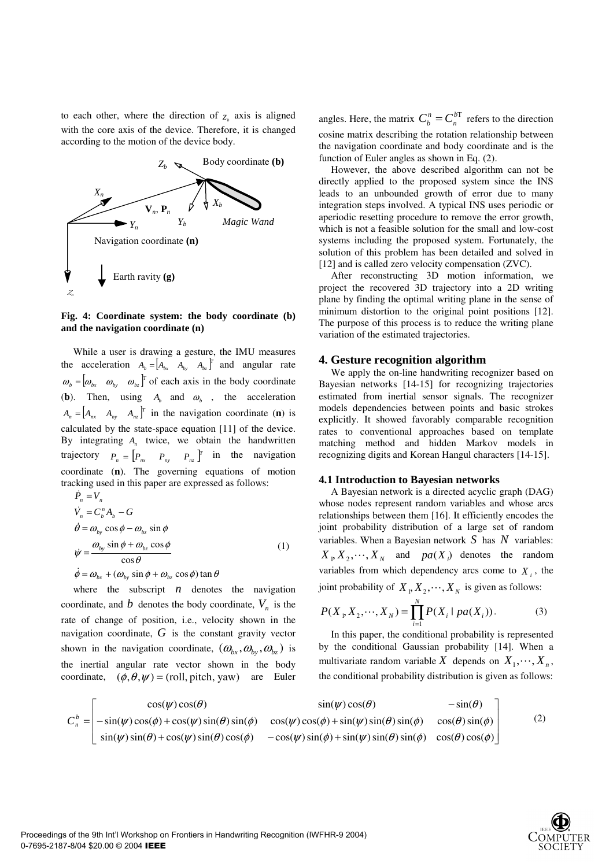to each other, where the direction of  $Z_b$  axis is aligned with the core axis of the device. Therefore, it is changed according to the motion of the device body.



### **Fig. 4: Coordinate system: the body coordinate (b) and the navigation coordinate (n)**

While a user is drawing a gesture, the IMU measures the acceleration  $A_b = \begin{bmatrix} A_{bx} & A_{by} & A_{bz} \end{bmatrix}^T$  and angular rate  $\[\omega_{b} = [\omega_{b_x} \quad \omega_{b_y} \quad \omega_{b_z}]^T\]$  of each axis in the body coordinate (**b**). Then, using  $A_b$  and  $\omega_b$ , the acceleration  $A_n = \begin{bmatrix} A_{nx} & A_{ny} & A_{nz} \end{bmatrix}^T$  in the navigation coordinate (**n**) is calculated by the state-space equation [11] of the device. By integrating *An* twice, we obtain the handwritten trajectory  $P_n = \begin{bmatrix} P_{nx} & P_{ny} & P_{nz} \end{bmatrix}^T$  in the navigation coordinate (**n**). The governing equations of motion tracking used in this paper are expressed as follows:

$$
\dot{P}_n = V_n
$$
\n
$$
\dot{V}_n = C_b^n A_b - G
$$
\n
$$
\dot{\theta} = \omega_{by} \cos \phi - \omega_{bz} \sin \phi
$$
\n
$$
\dot{\psi} = \frac{\omega_{by} \sin \phi + \omega_{bz} \cos \phi}{\cos \theta}
$$
\n
$$
\dot{\phi} = \omega_{bx} + (\omega_{by} \sin \phi + \omega_{bz} \cos \phi) \tan \theta
$$
\n(1)

where the subscript  $n$  denotes the navigation coordinate, and *b* denotes the body coordinate,  $V_n$  is the rate of change of position, i.e., velocity shown in the navigation coordinate, *G* is the constant gravity vector shown in the navigation coordinate,  $(\omega_{b_x},\omega_{b_y},\omega_{b_z})$  is the inertial angular rate vector shown in the body coordinate,  $(\phi, \theta, \psi) = (roll, pitch, yaw)$  are Euler

angles. Here, the matrix  $C_b^n = C_n^{bT}$  $C_b^n = C_n^{bT}$  refers to the direction cosine matrix describing the rotation relationship between the navigation coordinate and body coordinate and is the function of Euler angles as shown in Eq. (2).

However, the above described algorithm can not be directly applied to the proposed system since the INS leads to an unbounded growth of error due to many integration steps involved. A typical INS uses periodic or aperiodic resetting procedure to remove the error growth, which is not a feasible solution for the small and low-cost systems including the proposed system. Fortunately, the solution of this problem has been detailed and solved in [12] and is called zero velocity compensation (ZVC).

After reconstructing 3D motion information, we project the recovered 3D trajectory into a 2D writing plane by finding the optimal writing plane in the sense of minimum distortion to the original point positions [12]. The purpose of this process is to reduce the writing plane variation of the estimated trajectories.

# **4. Gesture recognition algorithm**

We apply the on-line handwriting recognizer based on Bayesian networks [14-15] for recognizing trajectories estimated from inertial sensor signals. The recognizer models dependencies between points and basic strokes explicitly. It showed favorably comparable recognition rates to conventional approaches based on template matching method and hidden Markov models in recognizing digits and Korean Hangul characters [14-15].

## **4.1 Introduction to Bayesian networks**

A Bayesian network is a directed acyclic graph (DAG) whose nodes represent random variables and whose arcs relationships between them [16]. It efficiently encodes the joint probability distribution of a large set of random variables. When a Bayesian network *S* has *N* variables:  $X_1, X_2, \dots, X_N$  and  $pa(X_i)$  denotes the random variables from which dependency arcs come to  $X_i$ , the joint probability of  $X_1, X_2, \dots, X_N$  is given as follows:

$$
P(X_1, X_2, \cdots, X_N) = \prod_{i=1}^{N} P(X_i \mid pa(X_i)).
$$
 (3)

In this paper, the conditional probability is represented by the conditional Gaussian probability [14]. When a multivariate random variable X depends on  $X_1, \dots, X_n$ , the conditional probability distribution is given as follows:

$$
C_n^b = \begin{bmatrix} \cos(\psi)\cos(\theta) & \sin(\psi)\cos(\theta) & -\sin(\theta) \\ -\sin(\psi)\cos(\phi) + \cos(\psi)\sin(\theta)\sin(\phi) & \cos(\psi)\cos(\phi) + \sin(\psi)\sin(\theta)\sin(\phi) & \cos(\theta)\sin(\phi) \\ \sin(\psi)\sin(\theta) + \cos(\psi)\sin(\theta)\cos(\phi) & -\cos(\psi)\sin(\phi) + \sin(\psi)\sin(\theta)\sin(\phi) & \cos(\theta)\cos(\phi) \end{bmatrix} (2)
$$

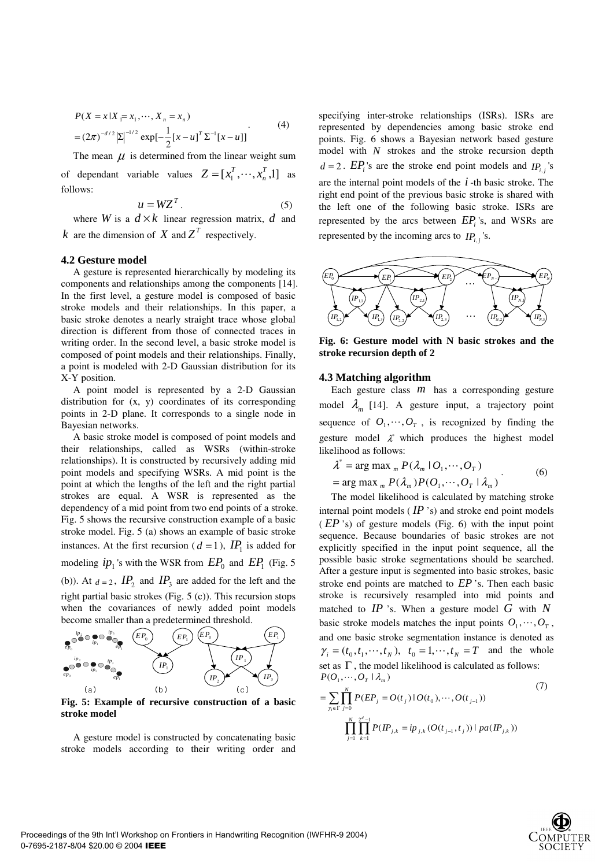$$
P(X = x | X_1 = x_1, \cdots, X_n = x_n)
$$
  
=  $(2\pi)^{-d/2} |\Sigma|^{-1/2} \exp[-\frac{1}{2}[x - u]^T \Sigma^{-1}[x - u]]$  (4)

The mean  $\mu$  is determined from the linear weight sum of dependant variable values  $Z = [x_1^T, \dots, x_n^T, 1]$  $Z = [x_1^T, \dots, x_n^T, 1]$  as follows:

$$
u = WZ^T. \tag{5}
$$

where *W* is a  $d \times k$  linear regression matrix, *d* and *k* are the dimension of *X* and  $Z<sup>T</sup>$  respectively.

#### **4.2 Gesture model**

A gesture is represented hierarchically by modeling its components and relationships among the components [14]. In the first level, a gesture model is composed of basic stroke models and their relationships. In this paper, a basic stroke denotes a nearly straight trace whose global direction is different from those of connected traces in writing order. In the second level, a basic stroke model is composed of point models and their relationships. Finally, a point is modeled with 2-D Gaussian distribution for its X-Y position.

A point model is represented by a 2-D Gaussian distribution for (x, y) coordinates of its corresponding points in 2-D plane. It corresponds to a single node in Bayesian networks.

A basic stroke model is composed of point models and their relationships, called as WSRs (within-stroke relationships). It is constructed by recursively adding mid point models and specifying WSRs. A mid point is the point at which the lengths of the left and the right partial strokes are equal. A WSR is represented as the dependency of a mid point from two end points of a stroke. Fig. 5 shows the recursive construction example of a basic stroke model. Fig. 5 (a) shows an example of basic stroke instances. At the first recursion ( $d = 1$ ),  $IP_1$  is added for modeling  $ip_1$ 's with the WSR from  $EP_0$  and  $EP_1$  (Fig. 5) (b)). At  $d = 2$ ,  $IP_2$  and  $IP_3$  are added for the left and the right partial basic strokes (Fig. 5 (c)). This recursion stops when the covariances of newly added point models



Fig. 5: Example of recursive construction of a basic **stroke model** 

A gesture model is constructed by concatenating basic stroke models according to their writing order and specifying inter-stroke relationships (ISRs). ISRs are represented by dependencies among basic stroke end points. Fig. 6 shows a Bayesian network based gesture model with *N* strokes and the stroke recursion depth  $d = 2$ . *EP<sub>i</sub>*'s are the stroke end point models and *IP<sub>i,j</sub>*'s are the internal point models of the *i* -th basic stroke. The right end point of the previous basic stroke is shared with the left one of the following basic stroke. ISRs are represented by the arcs between *EPi* 's, and WSRs are represented by the incoming arcs to  $IP_{i,j}$ 's.



**Fig. 6: Gesture model with N basic strokes and the stroke recursion depth of 2** 

#### **4.3 Matching algorithm**

Each gesture class  $m$  has a corresponding gesture model  $\lambda_m$  [14]. A gesture input, a trajectory point sequence of  $O_1, \dots, O_T$ , is recognized by finding the gesture model  $\lambda^*$  which produces the highest model likelihood as follows:  $\lambda^*$ 

$$
\lambda^* = \arg \max_{m} P(\lambda_m \mid O_1, \cdots, O_T)
$$
  
= arg max<sub>m</sub>  $P(\lambda_m) P(O_1, \cdots, O_T \mid \lambda_m)$  (6)

The model likelihood is calculated by matching stroke internal point models  $($ *IP* $)$ <sup>'s</sup> $)$  and stroke end point models ( *EP* 's) of gesture models (Fig. 6) with the input point sequence. Because boundaries of basic strokes are not explicitly specified in the input point sequence, all the possible basic stroke segmentations should be searched. After a gesture input is segmented into basic strokes, basic stroke end points are matched to *EP* 's. Then each basic stroke is recursively resampled into mid points and matched to *IP* 's. When a gesture model *G* with *N* basic stroke models matches the input points  $O_1, \dots, O_T$ , and one basic stroke segmentation instance is denoted as  $\gamma_i = (t_0, t_1, \dots, t_N)$ ,  $t_0 = 1, \dots, t_N = T$  and the whole set as  $\Gamma$ , the model likelihood is calculated as follows:  $P(O_1, \dots, O_T \mid \lambda_m)$ (7)

$$
= \sum_{\gamma_i \in \Gamma} \prod_{j=0}^{N} P(EP_j = O(t_j) | O(t_0), \cdots, O(t_{j-1}))
$$
  

$$
\prod_{j=1}^{N} \prod_{k=1}^{2^d - 1} P(IP_{j,k} = ip_{j,k} (O(t_{j-1}, t_j)) | pa(IP_{j,k}))
$$

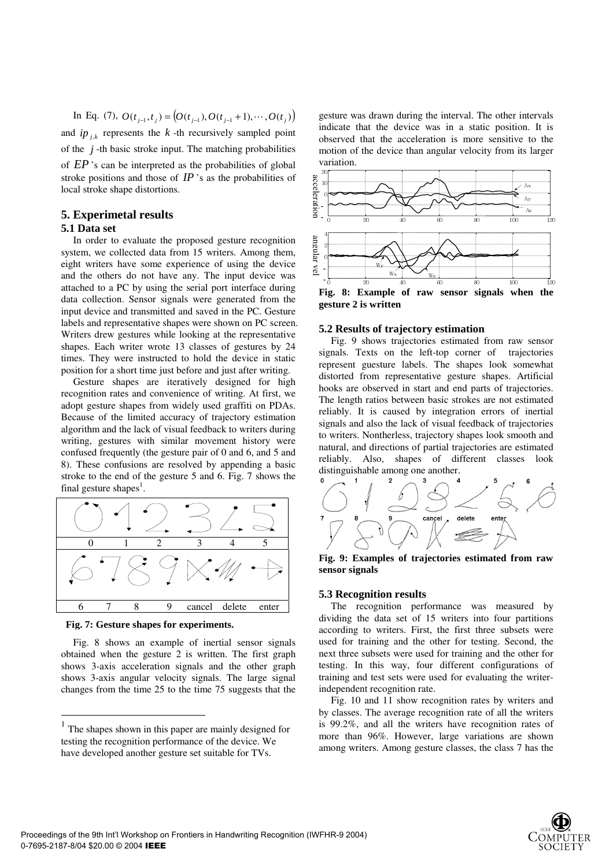In Eq. (7),  $O(t_{i-1}, t_i) = (O(t_{i-1}), O(t_{i-1}+1), \cdots, O(t_i))$ and  $ip_{i,k}$  represents the  $k$ -th recursively sampled point of the  $j$ -th basic stroke input. The matching probabilities of *EP* 's can be interpreted as the probabilities of global stroke positions and those of  $IP$ 's as the probabilities of local stroke shape distortions.

# **5. Experimetal results**

# **5.1 Data set**

In order to evaluate the proposed gesture recognition system, we collected data from 15 writers. Among them, eight writers have some experience of using the device and the others do not have any. The input device was attached to a PC by using the serial port interface during data collection. Sensor signals were generated from the input device and transmitted and saved in the PC. Gesture labels and representative shapes were shown on PC screen. Writers drew gestures while looking at the representative shapes. Each writer wrote 13 classes of gestures by 24 times. They were instructed to hold the device in static position for a short time just before and just after writing.

Gesture shapes are iteratively designed for high recognition rates and convenience of writing. At first, we adopt gesture shapes from widely used graffiti on PDAs. Because of the limited accuracy of trajectory estimation algorithm and the lack of visual feedback to writers during writing, gestures with similar movement history were confused frequently (the gesture pair of 0 and 6, and 5 and 8). These confusions are resolved by appending a basic stroke to the end of the gesture 5 and 6. Fig. 7 shows the final gesture shapes<sup>1</sup>.





 $\overline{a}$ 

Fig. 8 shows an example of inertial sensor signals obtained when the gesture 2 is written. The first graph shows 3-axis acceleration signals and the other graph shows 3-axis angular velocity signals. The large signal changes from the time 25 to the time 75 suggests that the gesture was drawn during the interval. The other intervals indicate that the device was in a static position. It is observed that the acceleration is more sensitive to the motion of the device than angular velocity from its larger variation.



## **5.2 Results of trajectory estimation**

Fig. 9 shows trajectories estimated from raw sensor signals. Texts on the left-top corner of trajectories represent guesture labels. The shapes look somewhat distorted from representative gesture shapes. Artificial hooks are observed in start and end parts of trajectories. The length ratios between basic strokes are not estimated reliably. It is caused by integration errors of inertial signals and also the lack of visual feedback of trajectories to writers. Nontherless, trajectory shapes look smooth and natural, and directions of partial trajectories are estimated reliably. Also, shapes of different classes look distinguishable among one another.



**Fig. 9: Examples of trajectories estimated from raw sensor signals** 

# **5.3 Recognition results**

The recognition performance was measured by dividing the data set of 15 writers into four partitions according to writers. First, the first three subsets were used for training and the other for testing. Second, the next three subsets were used for training and the other for testing. In this way, four different configurations of training and test sets were used for evaluating the writerindependent recognition rate.

Fig. 10 and 11 show recognition rates by writers and by classes. The average recognition rate of all the writers is 99.2%, and all the writers have recognition rates of more than 96%. However, large variations are shown among writers. Among gesture classes, the class 7 has the



The shapes shown in this paper are mainly designed for testing the recognition performance of the device. We have developed another gesture set suitable for TVs.